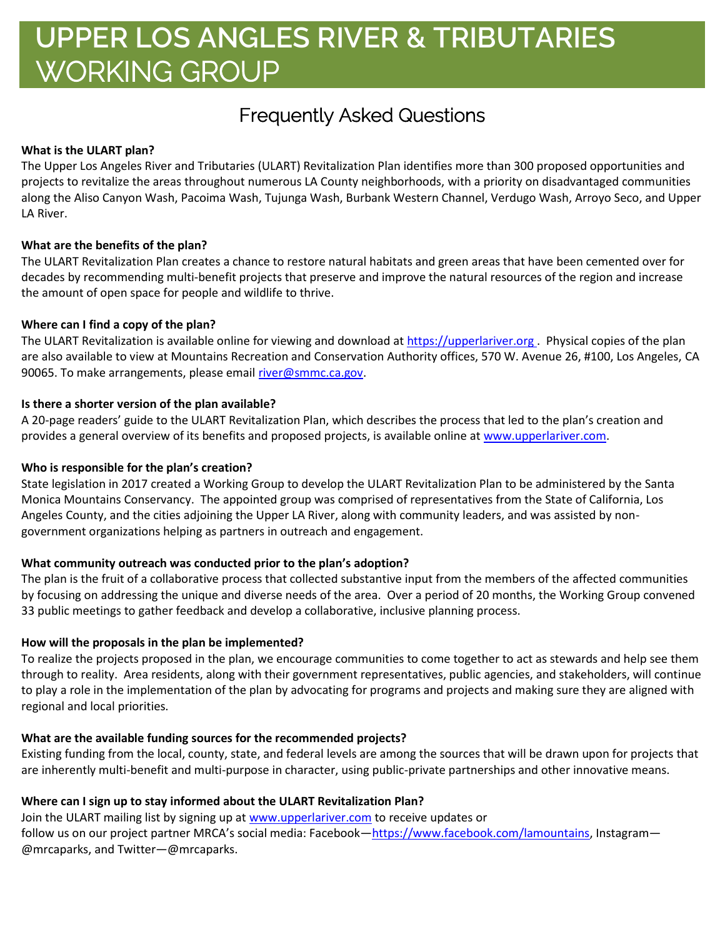# **UPPER LOS ANGLES RIVER & TRIBUTARIES** WORKING GROUP

# Frequently Asked Questions

# **What is the ULART plan?**

The Upper Los Angeles River and Tributaries (ULART) Revitalization Plan identifies more than 300 proposed opportunities and projects to revitalize the areas throughout numerous LA County neighborhoods, with a priority on disadvantaged communities along the Aliso Canyon Wash, Pacoima Wash, Tujunga Wash, Burbank Western Channel, Verdugo Wash, Arroyo Seco, and Upper LA River.

# **What are the benefits of the plan?**

The ULART Revitalization Plan creates a chance to restore natural habitats and green areas that have been cemented over for decades by recommending multi-benefit projects that preserve and improve the natural resources of the region and increase the amount of open space for people and wildlife to thrive.

# **Where can I find a copy of the plan?**

The ULART Revitalization is available online for viewing and download at https://upperlariver.org . Physical copies of the plan are also available to view at Mountains Recreation and Conservation Authority offices, 570 W. Avenue 26, #100, Los Angeles, CA 90065. To make arrangements, please email [river@smmc.ca.gov.](mailto:river@smmc.ca.gov)

# **Is there a shorter version of the plan available?**

A 20-page readers' guide to the ULART Revitalization Plan, which describes the process that led to the plan's creation and provides a general overview of its benefits and proposed projects, is available online at [www.upperlariver.com.](http://www.upperlariver.com/)

### **Who is responsible for the plan's creation?**

State legislation in 2017 created a Working Group to develop the ULART Revitalization Plan to be administered by the Santa Monica Mountains Conservancy. The appointed group was comprised of representatives from the State of California, Los Angeles County, and the cities adjoining the Upper LA River, along with community leaders, and was assisted by nongovernment organizations helping as partners in outreach and engagement.

### **What community outreach was conducted prior to the plan's adoption?**

The plan is the fruit of a collaborative process that collected substantive input from the members of the affected communities by focusing on addressing the unique and diverse needs of the area. Over a period of 20 months, the Working Group convened 33 public meetings to gather feedback and develop a collaborative, inclusive planning process.

### **How will the proposals in the plan be implemented?**

To realize the projects proposed in the plan, we encourage communities to come together to act as stewards and help see them through to reality. Area residents, along with their government representatives, public agencies, and stakeholders, will continue to play a role in the implementation of the plan by advocating for programs and projects and making sure they are aligned with regional and local priorities.

### **What are the available funding sources for the recommended projects?**

Existing funding from the local, county, state, and federal levels are among the sources that will be drawn upon for projects that are inherently multi-benefit and multi-purpose in character, using public-private partnerships and other innovative means.

### **Where can I sign up to stay informed about the ULART Revitalization Plan?**

Join the ULART mailing list by signing up at [www.upperlariver.com](http://www.upperlariver.com/) to receive updates or follow us on our project partner MRCA's social media: Facebook—[https://www.facebook.com/lamountains,](https://www.facebook.com/lamountains) Instagram— @mrcaparks, and Twitter—@mrcaparks.